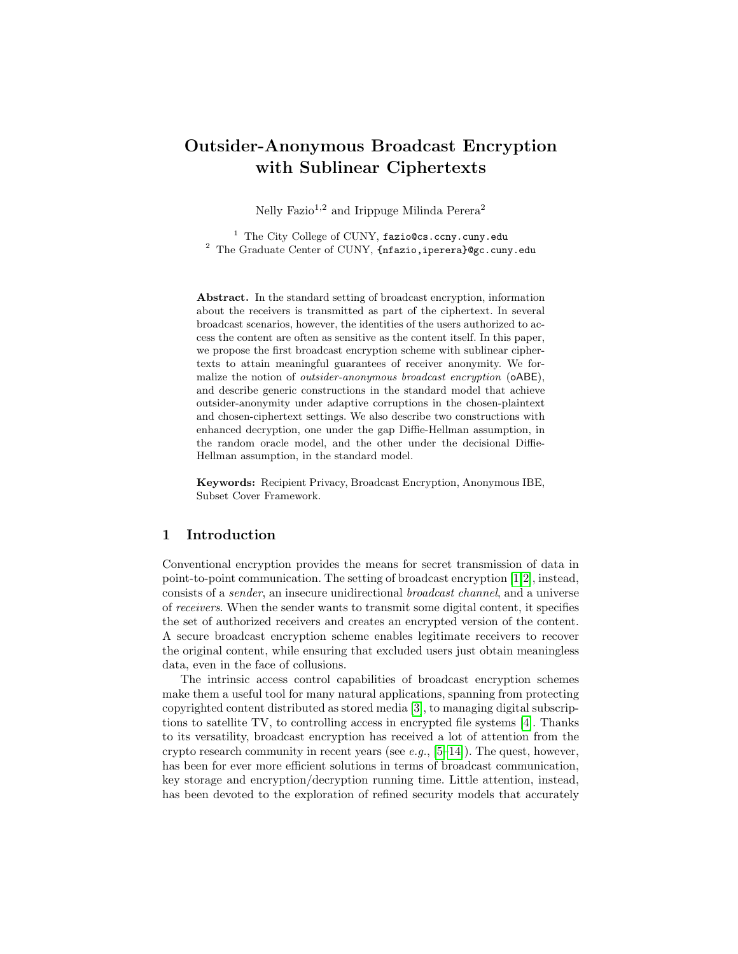# Outsider-Anonymous Broadcast Encryption with Sublinear Ciphertexts

Nelly Fazio<sup>1,2</sup> and Irippuge Milinda Perera<sup>2</sup>

<sup>1</sup> The City College of CUNY,  $f$ azio@cs.ccny.cuny.edu <sup>2</sup> The Graduate Center of CUNY, {nfazio,iperera}@gc.cuny.edu

Abstract. In the standard setting of broadcast encryption, information about the receivers is transmitted as part of the ciphertext. In several broadcast scenarios, however, the identities of the users authorized to access the content are often as sensitive as the content itself. In this paper, we propose the first broadcast encryption scheme with sublinear ciphertexts to attain meaningful guarantees of receiver anonymity. We formalize the notion of *outsider-anonymous broadcast encryption* ( $oABE$ ), and describe generic constructions in the standard model that achieve outsider-anonymity under adaptive corruptions in the chosen-plaintext and chosen-ciphertext settings. We also describe two constructions with enhanced decryption, one under the gap Diffie-Hellman assumption, in the random oracle model, and the other under the decisional Diffie-Hellman assumption, in the standard model.

Keywords: Recipient Privacy, Broadcast Encryption, Anonymous IBE, Subset Cover Framework.

## 1 Introduction

Conventional encryption provides the means for secret transmission of data in point-to-point communication. The setting of broadcast encryption [\[1,](#page-13-0)[2\]](#page-13-1), instead, consists of a sender, an insecure unidirectional broadcast channel, and a universe of receivers. When the sender wants to transmit some digital content, it specifies the set of authorized receivers and creates an encrypted version of the content. A secure broadcast encryption scheme enables legitimate receivers to recover the original content, while ensuring that excluded users just obtain meaningless data, even in the face of collusions.

The intrinsic access control capabilities of broadcast encryption schemes make them a useful tool for many natural applications, spanning from protecting copyrighted content distributed as stored media [\[3\]](#page-13-2), to managing digital subscriptions to satellite TV, to controlling access in encrypted file systems [\[4\]](#page-13-3). Thanks to its versatility, broadcast encryption has received a lot of attention from the crypto research community in recent years (see e.g.,  $[5-14]$  $[5-14]$ ). The quest, however, has been for ever more efficient solutions in terms of broadcast communication, key storage and encryption/decryption running time. Little attention, instead, has been devoted to the exploration of refined security models that accurately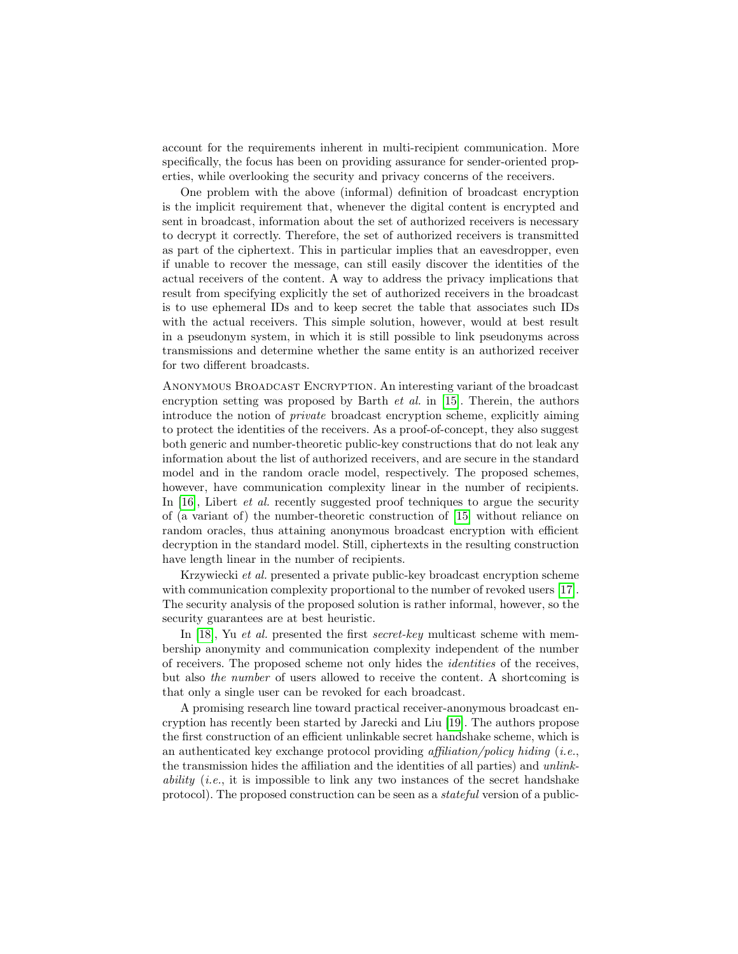account for the requirements inherent in multi-recipient communication. More specifically, the focus has been on providing assurance for sender-oriented properties, while overlooking the security and privacy concerns of the receivers.

One problem with the above (informal) definition of broadcast encryption is the implicit requirement that, whenever the digital content is encrypted and sent in broadcast, information about the set of authorized receivers is necessary to decrypt it correctly. Therefore, the set of authorized receivers is transmitted as part of the ciphertext. This in particular implies that an eavesdropper, even if unable to recover the message, can still easily discover the identities of the actual receivers of the content. A way to address the privacy implications that result from specifying explicitly the set of authorized receivers in the broadcast is to use ephemeral IDs and to keep secret the table that associates such IDs with the actual receivers. This simple solution, however, would at best result in a pseudonym system, in which it is still possible to link pseudonyms across transmissions and determine whether the same entity is an authorized receiver for two different broadcasts.

Anonymous Broadcast Encryption. An interesting variant of the broadcast encryption setting was proposed by Barth  $et \ al.$  in [\[15\]](#page-14-1). Therein, the authors introduce the notion of private broadcast encryption scheme, explicitly aiming to protect the identities of the receivers. As a proof-of-concept, they also suggest both generic and number-theoretic public-key constructions that do not leak any information about the list of authorized receivers, and are secure in the standard model and in the random oracle model, respectively. The proposed schemes, however, have communication complexity linear in the number of recipients. In  $[16]$ , Libert *et al.* recently suggested proof techniques to argue the security of (a variant of) the number-theoretic construction of [\[15\]](#page-14-1) without reliance on random oracles, thus attaining anonymous broadcast encryption with efficient decryption in the standard model. Still, ciphertexts in the resulting construction have length linear in the number of recipients.

Krzywiecki et al. presented a private public-key broadcast encryption scheme with communication complexity proportional to the number of revoked users [\[17\]](#page-14-3). The security analysis of the proposed solution is rather informal, however, so the security guarantees are at best heuristic.

In [\[18\]](#page-14-4), Yu *et al.* presented the first *secret-key* multicast scheme with membership anonymity and communication complexity independent of the number of receivers. The proposed scheme not only hides the identities of the receives, but also the number of users allowed to receive the content. A shortcoming is that only a single user can be revoked for each broadcast.

A promising research line toward practical receiver-anonymous broadcast encryption has recently been started by Jarecki and Liu [\[19\]](#page-14-5). The authors propose the first construction of an efficient unlinkable secret handshake scheme, which is an authenticated key exchange protocol providing *affiliation/policy hiding* (*i.e.*, the transmission hides the affiliation and the identities of all parties) and unlinkability (i.e., it is impossible to link any two instances of the secret handshake protocol). The proposed construction can be seen as a stateful version of a public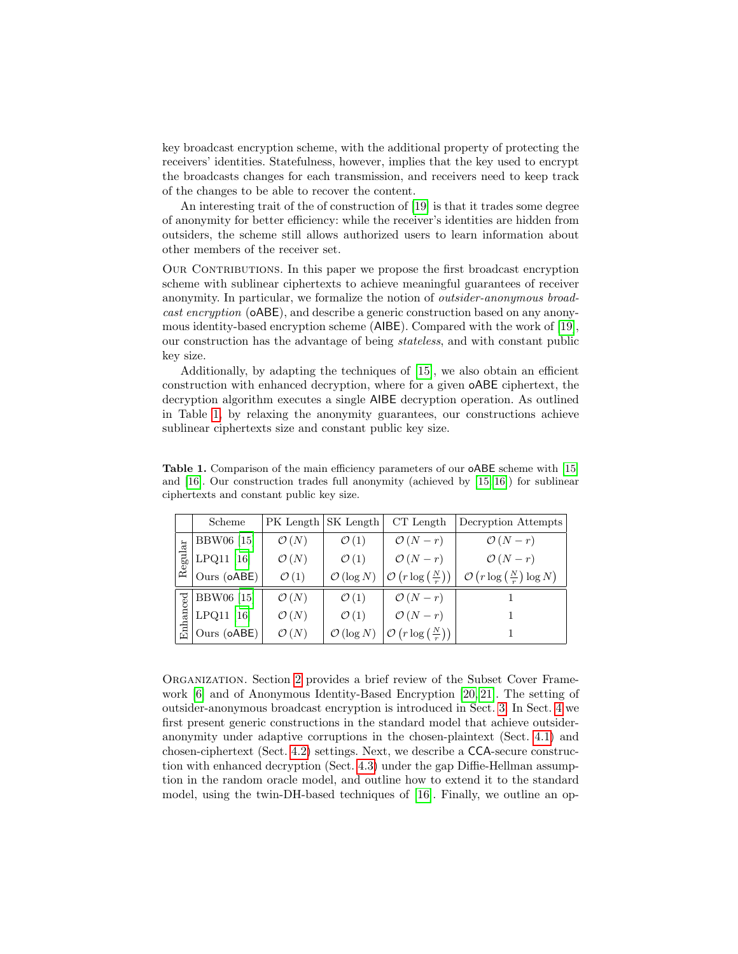key broadcast encryption scheme, with the additional property of protecting the receivers' identities. Statefulness, however, implies that the key used to encrypt the broadcasts changes for each transmission, and receivers need to keep track of the changes to be able to recover the content.

An interesting trait of the of construction of [\[19\]](#page-14-5) is that it trades some degree of anonymity for better efficiency: while the receiver's identities are hidden from outsiders, the scheme still allows authorized users to learn information about other members of the receiver set.

OUR CONTRIBUTIONS. In this paper we propose the first broadcast encryption scheme with sublinear ciphertexts to achieve meaningful guarantees of receiver anonymity. In particular, we formalize the notion of outsider-anonymous broadcast encryption (oABE), and describe a generic construction based on any anonymous identity-based encryption scheme (AIBE). Compared with the work of [\[19\]](#page-14-5), our construction has the advantage of being stateless, and with constant public key size.

Additionally, by adapting the techniques of [\[15\]](#page-14-1), we also obtain an efficient construction with enhanced decryption, where for a given oABE ciphertext, the decryption algorithm executes a single AIBE decryption operation. As outlined in Table [1,](#page-2-0) by relaxing the anonymity guarantees, our constructions achieve sublinear ciphertexts size and constant public key size.

<span id="page-2-0"></span>Table 1. Comparison of the main efficiency parameters of our oABE scheme with [\[15\]](#page-14-1) and [\[16\]](#page-14-2). Our construction trades full anonymity (achieved by [\[15,](#page-14-1) [16\]](#page-14-2)) for sublinear ciphertexts and constant public key size.

|          | Scheme            | PK Length   SK Length |                       | CT Length                          | Decryption Attempts                                  |
|----------|-------------------|-----------------------|-----------------------|------------------------------------|------------------------------------------------------|
| Regular  | <b>BBW06</b> [15] | $\mathcal{O}(N)$      | $\mathcal{O}(1)$      | $\mathcal{O}(N-r)$                 | $\mathcal{O}(N-r)$                                   |
|          | $LPQ11$ [16]      | $\mathcal{O}(N)$      | $\mathcal{O}(1)$      | $\mathcal{O}(N-r)$                 | $\mathcal{O}(N-r)$                                   |
|          | Ours (oABE)       | $\mathcal{O}(1)$      | $\mathcal{O}(\log N)$ | $\mathcal{O}(r \log(\frac{N}{r}))$ | $\mathcal{O}(r \log\left(\frac{N}{r}\right) \log N)$ |
| Enhanced | <b>BBW06</b> [15] | $\mathcal{O}(N)$      | $\mathcal{O}(1)$      | $\mathcal{O}(N-r)$                 |                                                      |
|          | LPQ11 [16]        | $\mathcal{O}(N)$      | $\mathcal{O}(1)$      | $\mathcal{O}(N-r)$                 |                                                      |
|          | Ours (oABE)       | $\mathcal{O}(N)$      | $\mathcal{O}(\log N)$ | $\mathcal{O}(r \log(\frac{N}{r}))$ |                                                      |

Organization. Section [2](#page-3-0) provides a brief review of the Subset Cover Framework [\[6\]](#page-14-6) and of Anonymous Identity-Based Encryption [\[20,](#page-14-7) [21\]](#page-14-8). The setting of outsider-anonymous broadcast encryption is introduced in Sect. [3.](#page-5-0) In Sect. [4](#page-7-0) we first present generic constructions in the standard model that achieve outsideranonymity under adaptive corruptions in the chosen-plaintext (Sect. [4.1\)](#page-8-0) and chosen-ciphertext (Sect. [4.2\)](#page-9-0) settings. Next, we describe a CCA-secure construction with enhanced decryption (Sect. [4.3\)](#page-10-0) under the gap Diffie-Hellman assumption in the random oracle model, and outline how to extend it to the standard model, using the twin-DH-based techniques of [\[16\]](#page-14-2). Finally, we outline an op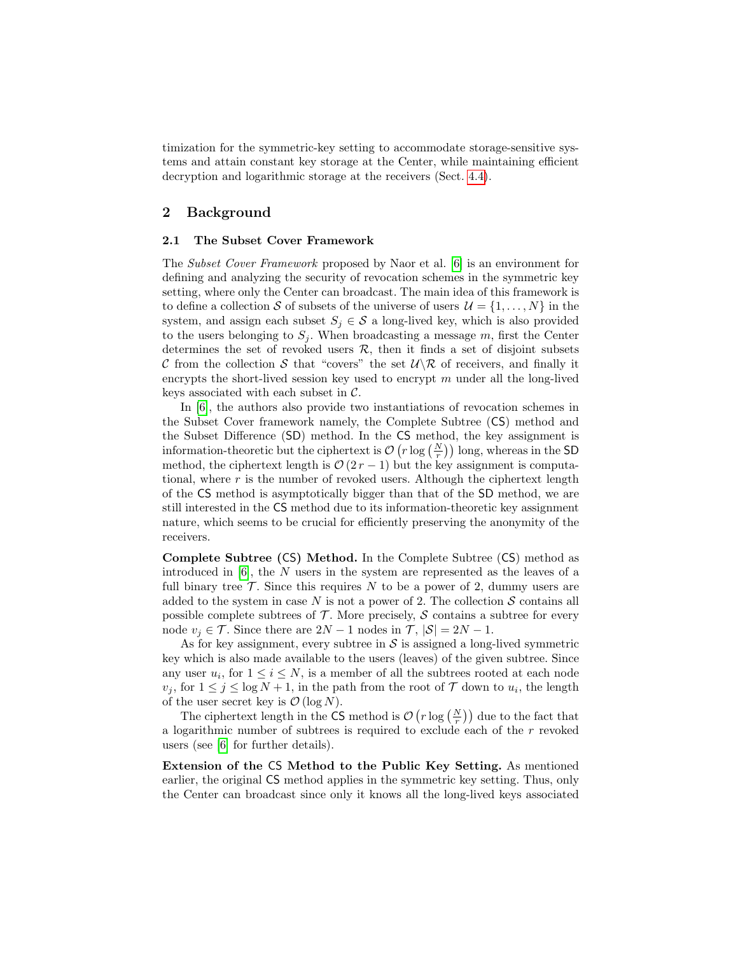timization for the symmetric-key setting to accommodate storage-sensitive systems and attain constant key storage at the Center, while maintaining efficient decryption and logarithmic storage at the receivers (Sect. [4.4\)](#page-12-0).

## <span id="page-3-0"></span>2 Background

#### <span id="page-3-1"></span>2.1 The Subset Cover Framework

The Subset Cover Framework proposed by Naor et al. [\[6\]](#page-14-6) is an environment for defining and analyzing the security of revocation schemes in the symmetric key setting, where only the Center can broadcast. The main idea of this framework is to define a collection S of subsets of the universe of users  $\mathcal{U} = \{1, \ldots, N\}$  in the system, and assign each subset  $S_i \in \mathcal{S}$  a long-lived key, which is also provided to the users belonging to  $S_i$ . When broadcasting a message m, first the Center determines the set of revoked users  $R$ , then it finds a set of disjoint subsets C from the collection S that "covers" the set  $\mathcal{U}\setminus\mathcal{R}$  of receivers, and finally it encrypts the short-lived session key used to encrypt  $m$  under all the long-lived keys associated with each subset in  $\mathcal{C}$ .

In [\[6\]](#page-14-6), the authors also provide two instantiations of revocation schemes in the Subset Cover framework namely, the Complete Subtree (CS) method and the Subset Difference (SD) method. In the CS method, the key assignment is information-theoretic but the ciphertext is  $\mathcal{O}(r \log(\frac{N}{r}))$  long, whereas in the SD method, the ciphertext length is  $\mathcal{O}(2r-1)$  but the key assignment is computational, where  $r$  is the number of revoked users. Although the ciphertext length of the CS method is asymptotically bigger than that of the SD method, we are still interested in the CS method due to its information-theoretic key assignment nature, which seems to be crucial for efficiently preserving the anonymity of the receivers.

Complete Subtree (CS) Method. In the Complete Subtree (CS) method as introduced in  $[6]$ , the N users in the system are represented as the leaves of a full binary tree  $\mathcal T$ . Since this requires N to be a power of 2, dummy users are added to the system in case N is not a power of 2. The collection  $S$  contains all possible complete subtrees of  $\mathcal T$ . More precisely,  $\mathcal S$  contains a subtree for every node  $v_j \in \mathcal{T}$ . Since there are  $2N - 1$  nodes in  $\mathcal{T}$ ,  $|\mathcal{S}| = 2N - 1$ .

As for key assignment, every subtree in  $\mathcal S$  is assigned a long-lived symmetric key which is also made available to the users (leaves) of the given subtree. Since any user  $u_i$ , for  $1 \leq i \leq N$ , is a member of all the subtrees rooted at each node  $v_j$ , for  $1 \leq j \leq \log N + 1$ , in the path from the root of  $\mathcal T$  down to  $u_i$ , the length of the user secret key is  $\mathcal{O}(\log N)$ .

The ciphertext length in the CS method is  $\mathcal{O}(r \log(\frac{N}{r}))$  due to the fact that a logarithmic number of subtrees is required to exclude each of the r revoked users (see [\[6\]](#page-14-6) for further details).

Extension of the CS Method to the Public Key Setting. As mentioned earlier, the original CS method applies in the symmetric key setting. Thus, only the Center can broadcast since only it knows all the long-lived keys associated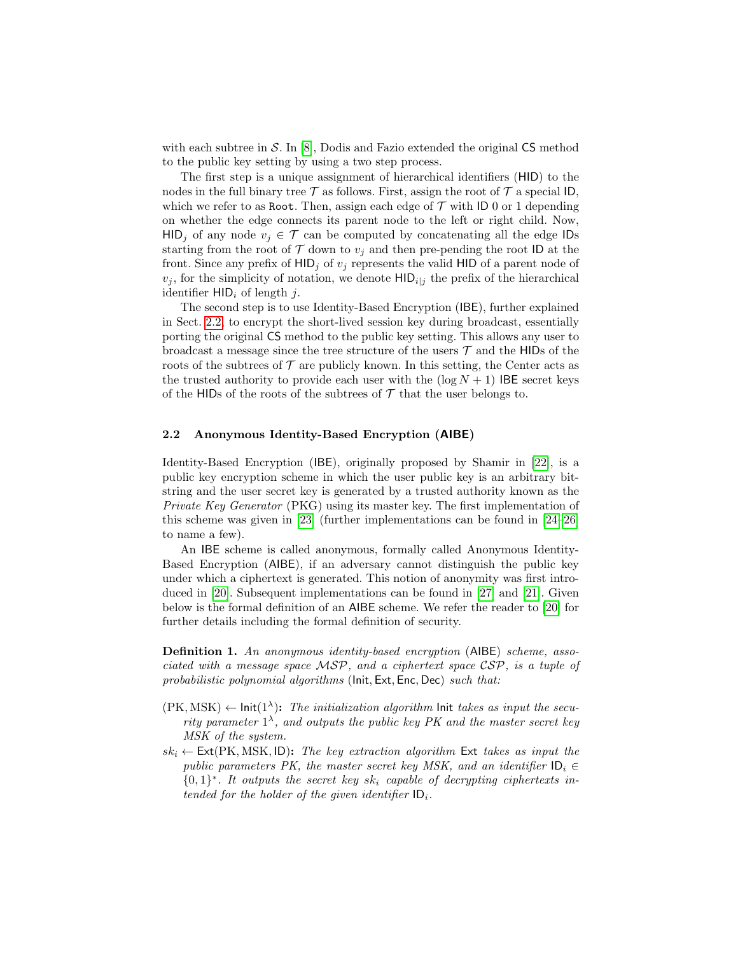with each subtree in  $\mathcal{S}$ . In [\[8\]](#page-14-9), Dodis and Fazio extended the original CS method to the public key setting by using a two step process.

The first step is a unique assignment of hierarchical identifiers (HID) to the nodes in the full binary tree  $\mathcal T$  as follows. First, assign the root of  $\mathcal T$  a special ID, which we refer to as Root. Then, assign each edge of  $\mathcal T$  with ID 0 or 1 depending on whether the edge connects its parent node to the left or right child. Now,  $HID_i$  of any node  $v_i \in \mathcal{T}$  can be computed by concatenating all the edge IDs starting from the root of  $\mathcal T$  down to  $v_j$  and then pre-pending the root ID at the front. Since any prefix of  $HID_j$  of  $v_j$  represents the valid HID of a parent node of  $v_j$ , for the simplicity of notation, we denote  $HID_{i|j}$  the prefix of the hierarchical identifier  $HID_i$  of length j.

The second step is to use Identity-Based Encryption (IBE), further explained in Sect. [2.2,](#page-4-0) to encrypt the short-lived session key during broadcast, essentially porting the original CS method to the public key setting. This allows any user to broadcast a message since the tree structure of the users  $\mathcal T$  and the HIDs of the roots of the subtrees of  $\mathcal T$  are publicly known. In this setting, the Center acts as the trusted authority to provide each user with the  $(\log N + 1)$  IBE secret keys of the HIDs of the roots of the subtrees of  $\mathcal T$  that the user belongs to.

#### <span id="page-4-0"></span>2.2 Anonymous Identity-Based Encryption (AIBE)

Identity-Based Encryption (IBE), originally proposed by Shamir in [\[22\]](#page-14-10), is a public key encryption scheme in which the user public key is an arbitrary bitstring and the user secret key is generated by a trusted authority known as the Private Key Generator (PKG) using its master key. The first implementation of this scheme was given in [\[23\]](#page-14-11) (further implementations can be found in [\[24–](#page-14-12)[26\]](#page-15-0) to name a few).

An IBE scheme is called anonymous, formally called Anonymous Identity-Based Encryption (AIBE), if an adversary cannot distinguish the public key under which a ciphertext is generated. This notion of anonymity was first introduced in [\[20\]](#page-14-7). Subsequent implementations can be found in [\[27\]](#page-15-1) and [\[21\]](#page-14-8). Given below is the formal definition of an AIBE scheme. We refer the reader to [\[20\]](#page-14-7) for further details including the formal definition of security.

Definition 1. An anonymous identity-based encryption (AIBE) scheme, associated with a message space MSP, and a ciphertext space CSP, is a tuple of probabilistic polynomial algorithms (Init, Ext, Enc, Dec) such that:

- $(PK, MSK) \leftarrow \text{Init}(1^{\lambda})$ : The initialization algorithm lnit takes as input the security parameter  $1^{\lambda}$ , and outputs the public key PK and the master secret key MSK of the system.
- $sk_i \leftarrow \text{Ext(PK, MSK, ID)}$ : The key extraction algorithm Ext takes as input the public parameters PK, the master secret key MSK, and an identifier  $ID_i \in$  ${0,1}^*$ . It outputs the secret key sk<sub>i</sub> capable of decrypting ciphertexts intended for the holder of the given identifier  $ID_i$ .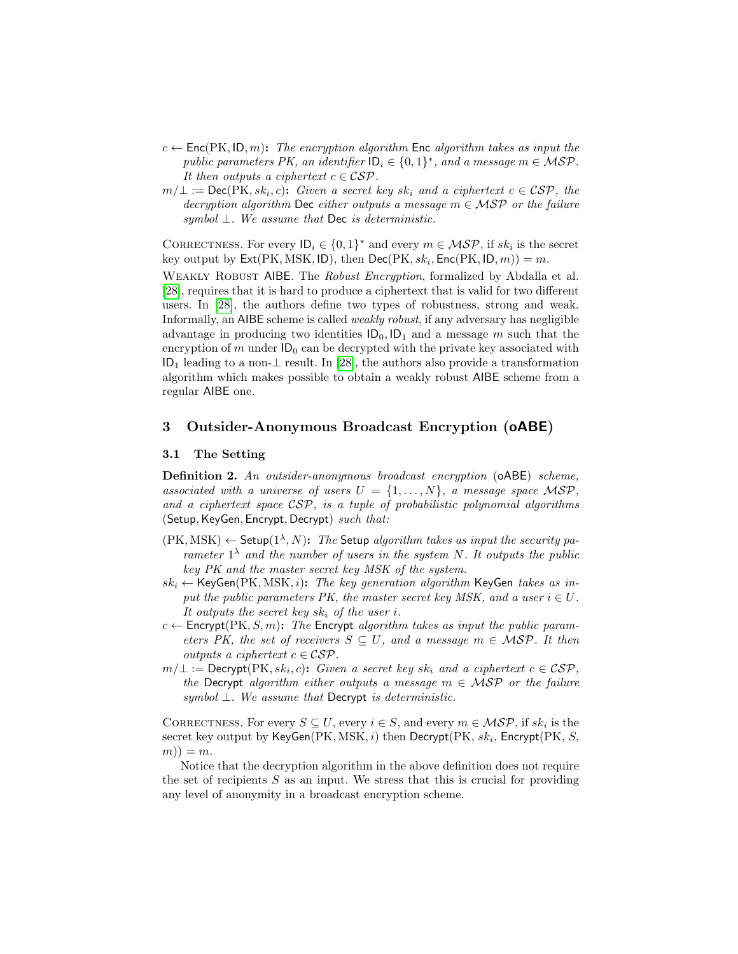- $c \leftarrow \mathsf{Enc}(\mathrm{PK}, \mathsf{ID}, m)$ : The encryption algorithm  $\mathsf{Enc}$  algorithm takes as input the public parameters PK, an identifier  $ID_i \in \{0,1\}^*$ , and a message  $m \in \mathcal{MSP}$ . It then outputs a ciphertext  $c \in \mathcal{CSP}$ .
- $m/\perp := \textsf{Dec}(\textsf{PK}, sk_i, c)$ : Given a secret key sk<sub>i</sub> and a ciphertext  $c \in \mathcal{CSP}$ , the decryption algorithm Dec either outputs a message  $m \in \mathcal{MSP}$  or the failure symbol  $\perp$ . We assume that Dec is deterministic.

CORRECTNESS. For every  $\mathsf{ID}_i \in \{0,1\}^*$  and every  $m \in \mathcal{MSP}$ , if  $sk_i$  is the secret key output by  $\mathsf{Ext}(\mathrm{PK},\mathrm{MSK},\mathsf{ID}),$  then  $\mathsf{Dec}(\mathrm{PK},\mathit{sk}_i,\mathsf{Enc}(\mathrm{PK},\mathsf{ID},m))=m.$ 

WEAKLY ROBUST AIBE. The *Robust Encryption*, formalized by Abdalla et al. [\[28\]](#page-15-2), requires that it is hard to produce a ciphertext that is valid for two different users. In [\[28\]](#page-15-2), the authors define two types of robustness, strong and weak. Informally, an AIBE scheme is called weakly robust, if any adversary has negligible advantage in producing two identities  $ID_0$ ,  $ID_1$  and a message m such that the encryption of m under  $ID_0$  can be decrypted with the private key associated with ID<sup>1</sup> leading to a non-⊥ result. In [\[28\]](#page-15-2), the authors also provide a transformation algorithm which makes possible to obtain a weakly robust AIBE scheme from a regular AIBE one.

## <span id="page-5-0"></span>3 Outsider-Anonymous Broadcast Encryption (oABE)

#### 3.1 The Setting

Definition 2. An outsider-anonymous broadcast encryption (oABE) scheme, associated with a universe of users  $U = \{1, \ldots, N\}$ , a message space MSP, and a ciphertext space  $CSP$ , is a tuple of probabilistic polynomial algorithms (Setup, KeyGen, Encrypt, Decrypt) such that:

- $(PK, MSK) \leftarrow$  Setup $(1^{\lambda}, N)$ : The Setup algorithm takes as input the security parameter  $1^{\lambda}$  and the number of users in the system N. It outputs the public key PK and the master secret key MSK of the system.
- $sk_i \leftarrow \text{KeyGen(PK, MSK}, i)$ : The key generation algorithm KeyGen takes as input the public parameters PK, the master secret key MSK, and a user  $i \in U$ . It outputs the secret key  $sk_i$  of the user i.
- $c \leftarrow$  Encrypt(PK, S, m): The Encrypt algorithm takes as input the public parameters PK, the set of receivers  $S \subseteq U$ , and a message  $m \in \mathcal{MSP}$ . It then outputs a ciphertext  $c \in \mathcal{CSP}$ .
- $m/\bot := \mathsf{Decrypt}(\mathrm{PK}, sk_i, c)$ : Given a secret key s $k_i$  and a ciphertext  $c \in \mathcal{CSP},$ the Decrypt algorithm either outputs a message  $m \in \mathcal{MSP}$  or the failure symbol  $\perp$ . We assume that Decrypt is deterministic.

CORRECTNESS. For every  $S \subseteq U$ , every  $i \in S$ , and every  $m \in \mathcal{MSP}$ , if  $sk_i$  is the secret key output by  $\mathsf{KeyGen}(\mathrm{PK},\mathrm{MSK},i)$  then  $\mathsf{Decrypt}(\mathrm{PK},\mathit{sk}_i,\mathsf{Encrypt}(\mathrm{PK},S,\mathsf{C})$  $m)$ ) = m.

Notice that the decryption algorithm in the above definition does not require the set of recipients  $S$  as an input. We stress that this is crucial for providing any level of anonymity in a broadcast encryption scheme.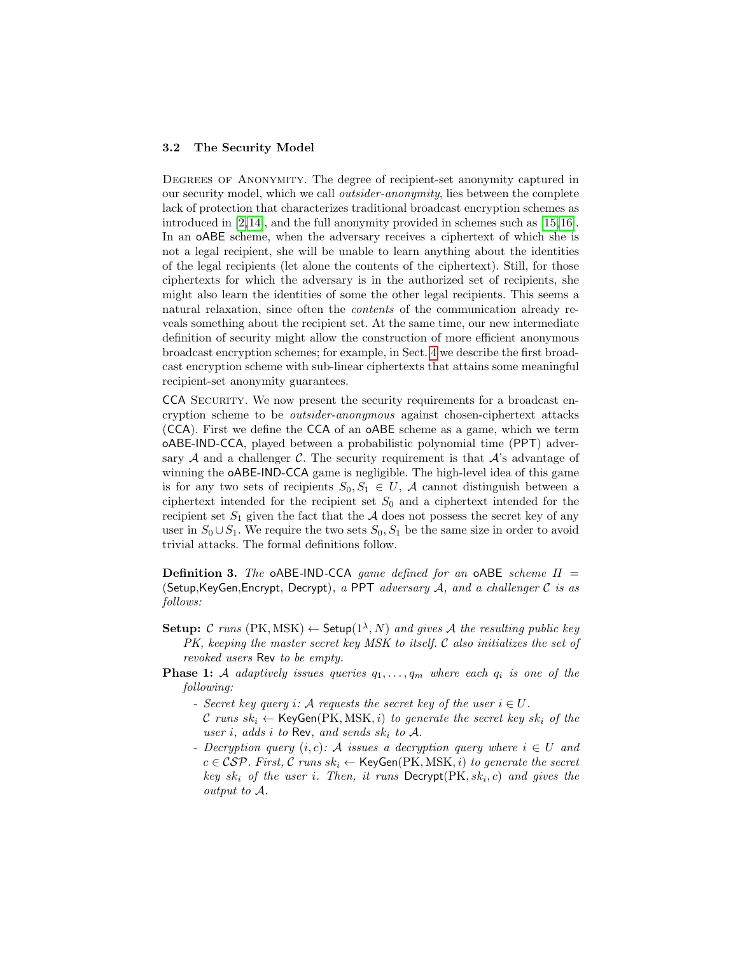#### 3.2 The Security Model

DEGREES OF ANONYMITY. The degree of recipient-set anonymity captured in our security model, which we call outsider-anonymity, lies between the complete lack of protection that characterizes traditional broadcast encryption schemes as introduced in [\[2,](#page-13-1)[14\]](#page-14-0), and the full anonymity provided in schemes such as [\[15,](#page-14-1)[16\]](#page-14-2). In an oABE scheme, when the adversary receives a ciphertext of which she is not a legal recipient, she will be unable to learn anything about the identities of the legal recipients (let alone the contents of the ciphertext). Still, for those ciphertexts for which the adversary is in the authorized set of recipients, she might also learn the identities of some the other legal recipients. This seems a natural relaxation, since often the contents of the communication already reveals something about the recipient set. At the same time, our new intermediate definition of security might allow the construction of more efficient anonymous broadcast encryption schemes; for example, in Sect. [4](#page-7-0) we describe the first broadcast encryption scheme with sub-linear ciphertexts that attains some meaningful recipient-set anonymity guarantees.

CCA Security. We now present the security requirements for a broadcast encryption scheme to be outsider-anonymous against chosen-ciphertext attacks (CCA). First we define the CCA of an oABE scheme as a game, which we term oABE-IND-CCA, played between a probabilistic polynomial time (PPT) adversary  $A$  and a challenger  $C$ . The security requirement is that  $A$ 's advantage of winning the oABE-IND-CCA game is negligible. The high-level idea of this game is for any two sets of recipients  $S_0, S_1 \in U$ , A cannot distinguish between a ciphertext intended for the recipient set  $S_0$  and a ciphertext intended for the recipient set  $S_1$  given the fact that the  $A$  does not possess the secret key of any user in  $S_0 \cup S_1$ . We require the two sets  $S_0, S_1$  be the same size in order to avoid trivial attacks. The formal definitions follow.

**Definition 3.** The oABE-IND-CCA game defined for an oABE scheme  $\Pi$  = (Setup, KeyGen, Encrypt, Decrypt), a PPT adversary  $A$ , and a challenger  $C$  is as follows:

- **Setup:** C runs (PK, MSK)  $\leftarrow$  Setup( $1^{\lambda}$ , N) and gives A the resulting public key PK, keeping the master secret key MSK to itself. C also initializes the set of revoked users Rev to be empty.
- **Phase 1:** A adaptively issues queries  $q_1, \ldots, q_m$  where each  $q_i$  is one of the following:
	- Secret key query i: A requests the secret key of the user  $i \in U$ .
		- C runs  $sk_i \leftarrow \text{KeyGen}(\text{PK}, \text{MSK}, i)$  to generate the secret key  $sk_i$  of the user i, adds i to Rev, and sends  $sk_i$  to A.
	- Decryption query  $(i, c)$ : A issues a decryption query where  $i \in U$  and  $c \in \mathcal{CSP}$ . First, C runs  $sk_i \leftarrow \text{KeyGen}(\text{PK}, \text{MSK}, i)$  to generate the secret key  $sk_i$  of the user i. Then, it runs Decrypt  $(PK, sk_i, c)$  and gives the output to A.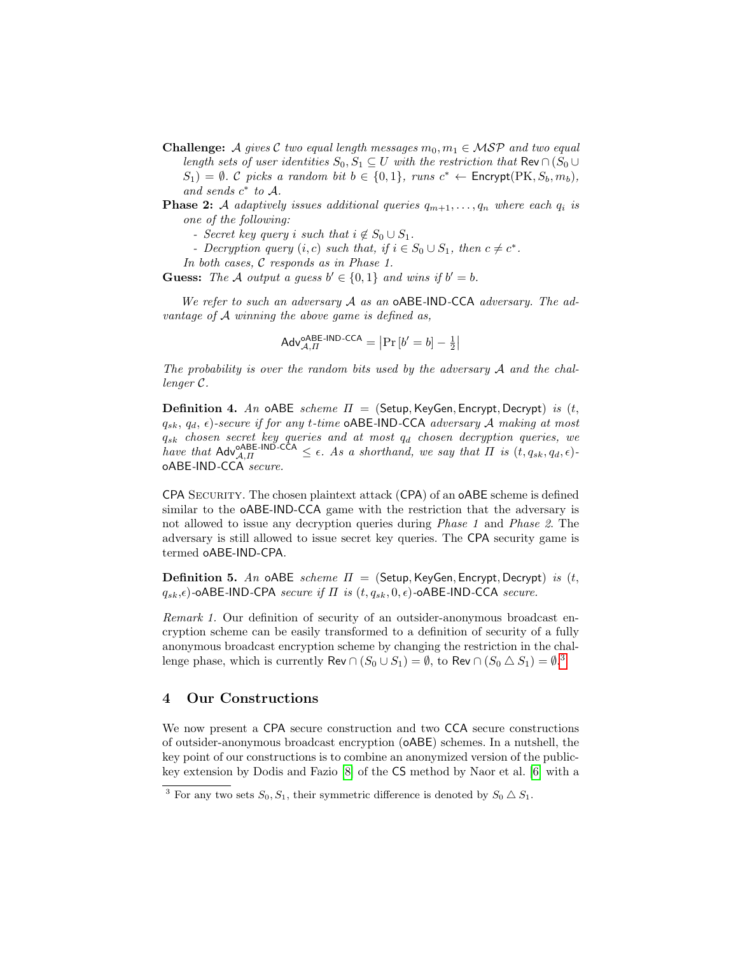- **Challenge:** A gives C two equal length messages  $m_0, m_1 \in \mathcal{MSP}$  and two equal length sets of user identities  $S_0, S_1 \subseteq U$  with the restriction that Rev  $\cap (S_0 \cup$  $S_1$  =  $\emptyset$ . C picks a random bit  $b \in \{0,1\}$ , runs  $c^* \leftarrow$  Encrypt(PK,  $S_b$ ,  $m_b$ ), and sends  $c^*$  to  $A$ .
- **Phase 2:** A adaptively issues additional queries  $q_{m+1}, \ldots, q_n$  where each  $q_i$  is one of the following:
	- Secret key query i such that  $i \notin S_0 \cup S_1$ .
	- Decryption query  $(i, c)$  such that, if  $i \in S_0 \cup S_1$ , then  $c \neq c^*$ .

In both cases, C responds as in Phase 1.

**Guess:** The A output a guess  $b' \in \{0,1\}$  and wins if  $b' = b$ .

We refer to such an adversary A as an **oABE-IND-CCA** adversary. The advantage of A winning the above game is defined as,

$$
Adv_{A,II}^{\text{oABE-IND-CCA}} = \left| \Pr \left[ b' = b \right] - \frac{1}{2} \right|
$$

The probability is over the random bits used by the adversary A and the challenger C.

**Definition 4.** An oABE scheme  $\Pi$  = (Setup, KeyGen, Encrypt, Decrypt) is (t,  $q_{sk}$ ,  $q_d$ ,  $\epsilon$ )-secure if for any t-time **oABE-IND-CCA** adversary A making at most  $q_{sk}$  chosen secret key queries and at most  $q_d$  chosen decryption queries, we have that  $\mathsf{Adv}_{\mathcal{A},\Pi}^{\mathsf{oABE-IND-CCA}} \leq \epsilon$ . As a shorthand, we say that  $\Pi$  is  $(t, q_{sk}, q_d, \epsilon)$ oABE-IND-CCA secure.

CPA Security. The chosen plaintext attack (CPA) of an oABE scheme is defined similar to the oABE-IND-CCA game with the restriction that the adversary is not allowed to issue any decryption queries during *Phase 1* and *Phase 2*. The adversary is still allowed to issue secret key queries. The CPA security game is termed oABE-IND-CPA.

<span id="page-7-2"></span>Definition 5. An oABE scheme  $\Pi =$  (Setup, KeyGen, Encrypt, Decrypt) is (t,  $q_{sk}, \epsilon$ )-oABE-IND-CPA secure if  $\Pi$  is  $(t, q_{sk}, 0, \epsilon)$ -oABE-IND-CCA secure.

Remark 1. Our definition of security of an outsider-anonymous broadcast encryption scheme can be easily transformed to a definition of security of a fully anonymous broadcast encryption scheme by changing the restriction in the challenge phase, which is currently  $\text{Rev} \cap (S_0 \cup S_1) = \emptyset$ , to  $\text{Rev} \cap (S_0 \triangle S_1) = \emptyset$ .

## <span id="page-7-0"></span>4 Our Constructions

We now present a CPA secure construction and two CCA secure constructions of outsider-anonymous broadcast encryption (oABE) schemes. In a nutshell, the key point of our constructions is to combine an anonymized version of the publickey extension by Dodis and Fazio [\[8\]](#page-14-9) of the CS method by Naor et al. [\[6\]](#page-14-6) with a

<span id="page-7-1"></span><sup>&</sup>lt;sup>3</sup> For any two sets  $S_0, S_1$ , their symmetric difference is denoted by  $S_0 \triangle S_1$ .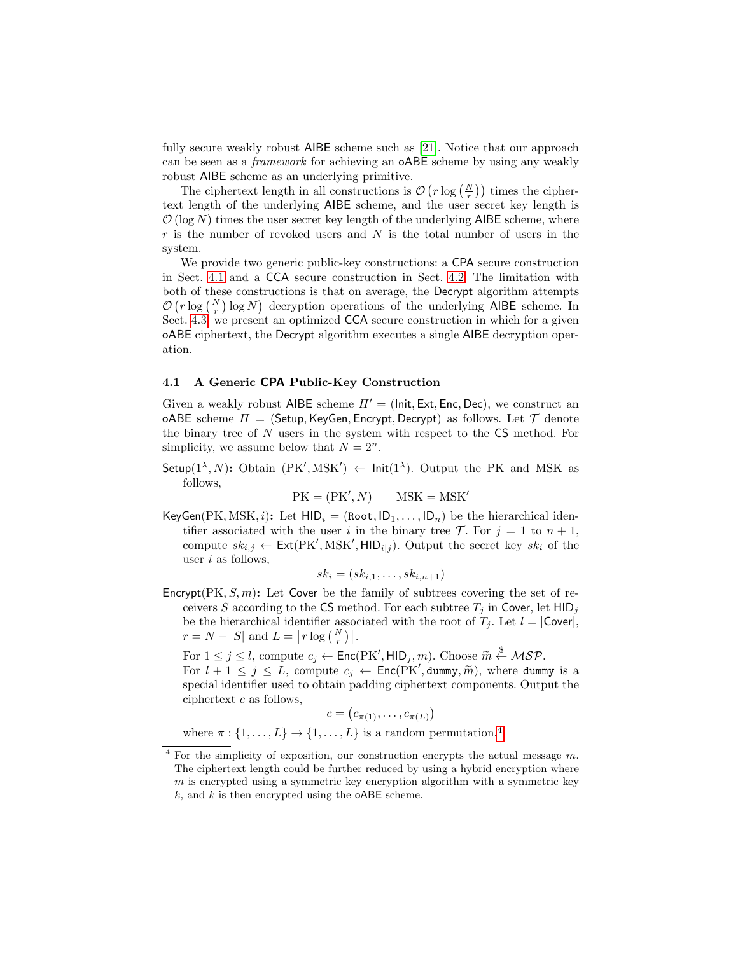fully secure weakly robust AIBE scheme such as [\[21\]](#page-14-8). Notice that our approach can be seen as a framework for achieving an oABE scheme by using any weakly robust AIBE scheme as an underlying primitive.

The ciphertext length in all constructions is  $\mathcal{O}(r \log(\frac{N}{r}))$  times the ciphertext length of the underlying AIBE scheme, and the user secret key length is  $\mathcal{O}(\log N)$  times the user secret key length of the underlying AIBE scheme, where r is the number of revoked users and  $N$  is the total number of users in the system.

We provide two generic public-key constructions: a CPA secure construction in Sect. [4.1](#page-8-0) and a CCA secure construction in Sect. [4.2.](#page-9-0) The limitation with both of these constructions is that on average, the Decrypt algorithm attempts  $\mathcal{O}(r \log(\frac{N}{r}) \log N)$  decryption operations of the underlying AIBE scheme. In Sect. [4.3,](#page-10-0) we present an optimized CCA secure construction in which for a given oABE ciphertext, the Decrypt algorithm executes a single AIBE decryption operation.

#### <span id="page-8-0"></span>4.1 A Generic CPA Public-Key Construction

Given a weakly robust AIBE scheme  $\Pi' = (Init, Ext, Enc, Dec)$ , we construct an oABE scheme  $\Pi =$  (Setup, KeyGen, Encrypt, Decrypt) as follows. Let  $\mathcal T$  denote the binary tree of N users in the system with respect to the CS method. For simplicity, we assume below that  $N = 2<sup>n</sup>$ .

Setup( $1^{\lambda}$ , N): Obtain (PK', MSK')  $\leftarrow$  lnit( $1^{\lambda}$ ). Output the PK and MSK as follows,

$$
PK = (PK', N) \qquad \text{MSK} = \text{MSK}'
$$

KeyGen(PK, MSK, i): Let  $HID_i = (Root, ID_1, ..., ID_n)$  be the hierarchical identifier associated with the user i in the binary tree  $\mathcal{T}$ . For  $j = 1$  to  $n + 1$ , compute  $sk_{i,j} \leftarrow \text{Ext(PK}', \text{MSK}', \text{HID}_{i|j})$ . Output the secret key  $sk_i$  of the user  $i$  as follows,

$$
sk_i = (sk_{i,1},\ldots, sk_{i,n+1})
$$

Encrypt( $PK, S, m$ ): Let Cover be the family of subtrees covering the set of receivers S according to the CS method. For each subtree  $T_j$  in Cover, let  $HID_j$ be the hierarchical identifier associated with the root of  $T_j$ . Let  $l = | \text{Cover}|$ ,  $r = N - |S|$  and  $L = \lfloor r \log \left( \frac{N}{r} \right) \rfloor$ .

For  $1 \leq j \leq l$ , compute  $c_j \leftarrow \text{Enc}(\text{PK}', \text{HID}_j, m)$ . Choose  $\widetilde{m} \stackrel{\text{g}}{\leftarrow} \mathcal{MSP}$ .<br>For  $l+1 \leq i \leq l$ , compute  $c_{i+1} \in \text{Enc}(\text{PK}', \text{dummy}, \widetilde{m})$ , where during For  $l + 1 \leq j \leq L$ , compute  $c_j \leftarrow \text{Enc}(\overrightarrow{PK}, \text{dummy}, \widetilde{m})$ , where dummy is a special identifier used to obtain padding ciphertext components. Output the special identifier used to obtain padding ciphertext components. Output the ciphertext  $c$  as follows,

$$
c = (c_{\pi(1)}, \ldots, c_{\pi(L)})
$$

where  $\pi : \{1, \ldots, L\} \to \{1, \ldots, L\}$  is a random permutation.<sup>[4](#page-8-1)</sup>

<span id="page-8-1"></span> $4$  For the simplicity of exposition, our construction encrypts the actual message  $m$ . The ciphertext length could be further reduced by using a hybrid encryption where  $m$  is encrypted using a symmetric key encryption algorithm with a symmetric key  $k$ , and  $k$  is then encrypted using the **oABE** scheme.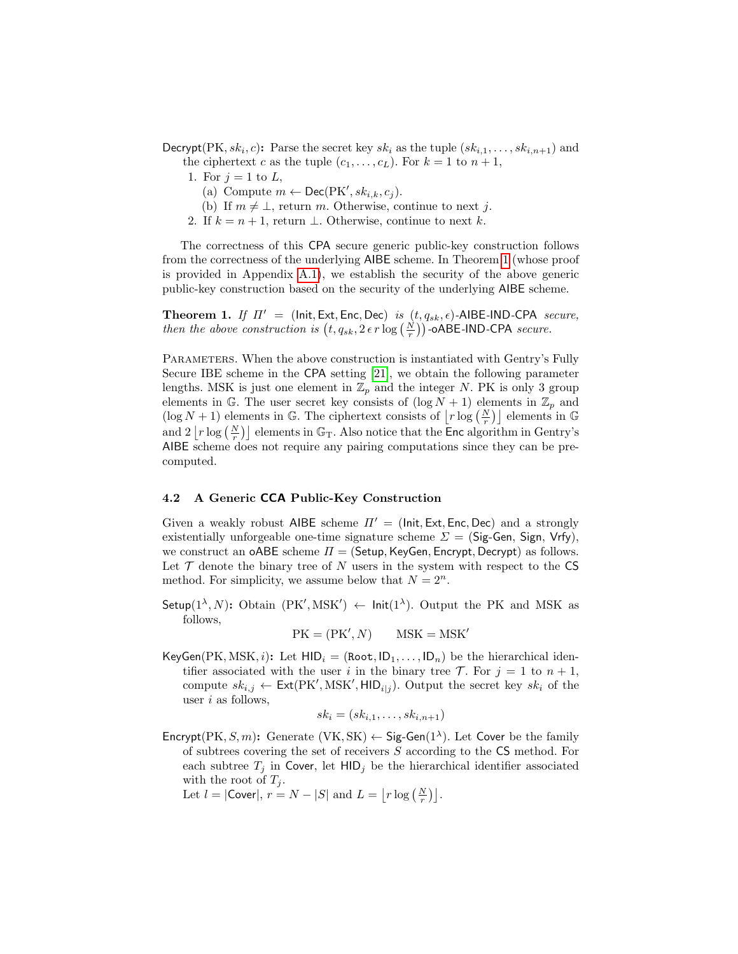Decrypt(PK,  $sk_i$ , c): Parse the secret key  $sk_i$  as the tuple  $(sk_{i,1}, \ldots, sk_{i,n+1})$  and the ciphertext c as the tuple  $(c_1, \ldots, c_L)$ . For  $k = 1$  to  $n + 1$ ,

- 1. For  $j = 1$  to  $L$ ,
	- (a) Compute  $m \leftarrow \mathsf{Dec}(\mathrm{PK}', sk_{i,k}, c_j)$ .
	- (b) If  $m \neq \perp$ , return m. Otherwise, continue to next j.
- 2. If  $k = n + 1$ , return  $\perp$ . Otherwise, continue to next k.

The correctness of this CPA secure generic public-key construction follows from the correctness of the underlying AIBE scheme. In Theorem [1](#page-9-1) (whose proof is provided in Appendix [A.1\)](#page-15-3), we establish the security of the above generic public-key construction based on the security of the underlying AIBE scheme.

<span id="page-9-1"></span>**Theorem 1.** If  $\Pi' = (\text{Init}, \text{Ext}, \text{Enc}, \text{Dec})$  is  $(t, q_{sk}, \epsilon)$ -AIBE-IND-CPA secure, then the above construction is  $(t, q_{sk}, 2 \epsilon r \log(\frac{N}{r}))$ -oABE-IND-CPA secure.

PARAMETERS. When the above construction is instantiated with Gentry's Fully Secure IBE scheme in the CPA setting [\[21\]](#page-14-8), we obtain the following parameter lengths. MSK is just one element in  $\mathbb{Z}_p$  and the integer N. PK is only 3 group elements in G. The user secret key consists of  $(\log N + 1)$  elements in  $\mathbb{Z}_p$  and  $(\log N + 1)$  elements in G. The ciphertext consists of  $\lfloor r \log \left( \frac{N}{r} \right) \rfloor$  elements in G and  $2\lfloor r \log\left(\frac{N}{r}\right) \rfloor$  elements in  $\mathbb{G}_{T}$ . Also notice that the Enc algorithm in Gentry's AIBE scheme does not require any pairing computations since they can be precomputed.

#### <span id="page-9-0"></span>4.2 A Generic CCA Public-Key Construction

Given a weakly robust AIBE scheme  $\Pi' = (\text{Init}, \text{Ext}, \text{Enc}, \text{Dec})$  and a strongly existentially unforgeable one-time signature scheme  $\Sigma = (Sig\text{-Gen}, Sy\text{-Gr}), V\text{-fr}, V$ , we construct an oABE scheme  $\Pi =$  (Setup, KeyGen, Encrypt, Decrypt) as follows. Let  $\mathcal T$  denote the binary tree of N users in the system with respect to the CS method. For simplicity, we assume below that  $N = 2<sup>n</sup>$ .

Setup( $1^{\lambda}$ , N): Obtain (PK', MSK')  $\leftarrow$  lnit( $1^{\lambda}$ ). Output the PK and MSK as follows,

$$
PK = (PK', N) \qquad \text{MSK} = \text{MSK}'
$$

KeyGen(PK, MSK, i): Let  $HID_i = (Root, ID_1, ..., ID_n)$  be the hierarchical identifier associated with the user i in the binary tree  $\mathcal{T}$ . For  $j = 1$  to  $n + 1$ , compute  $sk_{i,j} \leftarrow \text{Ext(PK}', \text{MSK}', \text{HID}_{i|j})$ . Output the secret key  $sk_i$  of the user  $i$  as follows,

$$
sk_i = (sk_{i,1},\ldots, sk_{i,n+1})
$$

- Encrypt(PK, S, m): Generate (VK, SK)  $\leftarrow$  Sig-Gen(1<sup> $\lambda$ </sup>). Let Cover be the family of subtrees covering the set of receivers S according to the CS method. For each subtree  $T_j$  in Cover, let  $HID_j$  be the hierarchical identifier associated with the root of  $T_j$ .
	- Let  $l = |\text{Cover}|, r = N |S| \text{ and } L = \lfloor r \log \left( \frac{N}{r} \right) \rfloor.$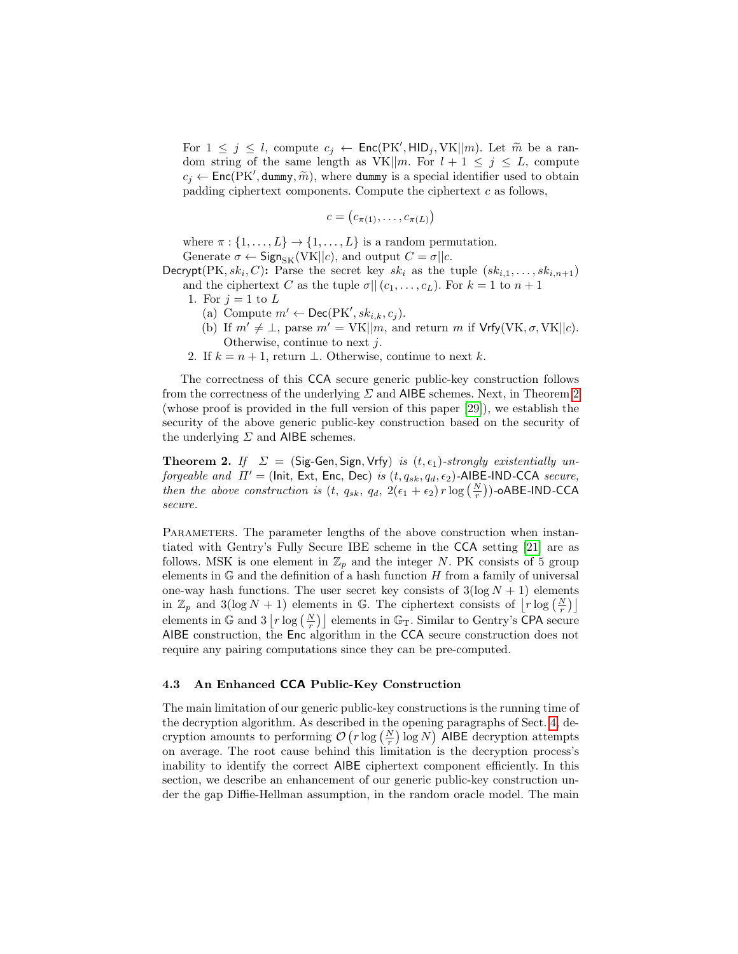For  $1 \leq j \leq l$ , compute  $c_j \leftarrow \text{Enc}(\text{PK}', \text{HID}_j, \text{VK}||m)$ . Let  $\tilde{m}$  be a ran-<br>dom string of the same langth as  $\text{VK}'||m$ . For  $l+1 \leq i \leq I$  compute dom string of the same length as  $VK \mid m$ . For  $l + 1 \leq j \leq L$ , compute  $c_j \leftarrow \text{Enc}(\text{PK}', \text{dummy}, \tilde{m})$ , where dummy is a special identifier used to obtain padding ciphertext components. Compute the ciphertext  $c$  as follows,

$$
c = (c_{\pi(1)}, \ldots, c_{\pi(L)})
$$

where  $\pi : \{1, \ldots, L\} \to \{1, \ldots, L\}$  is a random permutation. Generate  $\sigma \leftarrow$  Sign<sub>SK</sub>(VK||c), and output  $C = \sigma || c$ .

Decrypt(PK,  $sk_i$ , C): Parse the secret key  $sk_i$  as the tuple  $(sk_{i,1},\ldots, sk_{i,n+1})$ and the ciphertext C as the tuple  $\sigma || (c_1, \ldots, c_L)$ . For  $k = 1$  to  $n + 1$ 

- 1. For  $j = 1$  to L
	- (a) Compute  $m' \leftarrow \mathsf{Dec}(\mathrm{PK}', sk_{i,k}, c_j)$ .
	- (b) If  $m' \neq \perp$ , parse  $m' = \text{VK}||m$ , and return m if  $\text{Vrfy}(\text{VK}, \sigma, \text{VK}||c)$ . Otherwise, continue to next  $i$ .
- 2. If  $k = n + 1$ , return  $\perp$ . Otherwise, continue to next k.

The correctness of this CCA secure generic public-key construction follows from the correctness of the underlying  $\Sigma$  and AIBE schemes. Next, in Theorem [2](#page-10-1) (whose proof is provided in the full version of this paper [\[29\]](#page-15-4)), we establish the security of the above generic public-key construction based on the security of the underlying  $\Sigma$  and AIBE schemes.

<span id="page-10-1"></span>**Theorem 2.** If  $\Sigma = (\text{Sig-Gen}, \text{Sign}, \text{Vrfy})$  is  $(t, \epsilon_1)$ -strongly existentially unforgeable and  $\Pi' =$  (Init, Ext, Enc, Dec) is  $(t, q_{sk}, q_d, \epsilon_2)$ -AIBE-IND-CCA secure, then the above construction is  $(t, q_{sk}, q_d, 2(\epsilon_1 + \epsilon_2) r \log(\frac{N}{r}))$ - $\circ$ ABE-IND-CCA secure.

PARAMETERS. The parameter lengths of the above construction when instantiated with Gentry's Fully Secure IBE scheme in the CCA setting [\[21\]](#page-14-8) are as follows. MSK is one element in  $\mathbb{Z}_p$  and the integer N. PK consists of 5 group elements in  $\mathbb G$  and the definition of a hash function  $H$  from a family of universal one-way hash functions. The user secret key consists of  $3(\log N + 1)$  elements in  $\mathbb{Z}_p$  and  $3(\log N + 1)$  elements in G. The ciphertext consists of  $\left[ r \log \left( \frac{N}{r} \right) \right]$ elements in G and  $3\lfloor r\log\left(\frac{N}{r}\right)\rfloor$  elements in G<sub>T</sub>. Similar to Gentry's CPA secure AIBE construction, the Enc algorithm in the CCA secure construction does not require any pairing computations since they can be pre-computed.

#### <span id="page-10-0"></span>4.3 An Enhanced CCA Public-Key Construction

The main limitation of our generic public-key constructions is the running time of the decryption algorithm. As described in the opening paragraphs of Sect. [4,](#page-7-0) decryption amounts to performing  $\mathcal{O}\left(r\log\left(\frac{N}{r}\right)\log N\right)$  AIBE decryption attempts on average. The root cause behind this limitation is the decryption process's inability to identify the correct AIBE ciphertext component efficiently. In this section, we describe an enhancement of our generic public-key construction under the gap Diffie-Hellman assumption, in the random oracle model. The main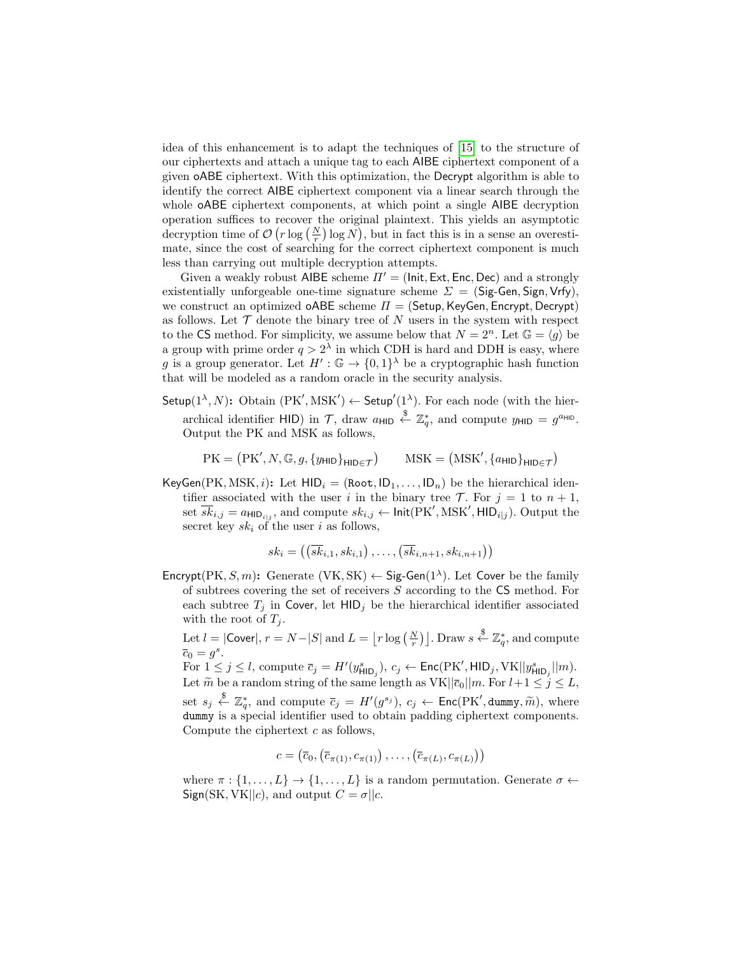idea of this enhancement is to adapt the techniques of [\[15\]](#page-14-1) to the structure of our ciphertexts and attach a unique tag to each AIBE ciphertext component of a given oABE ciphertext. With this optimization, the Decrypt algorithm is able to identify the correct AIBE ciphertext component via a linear search through the whole **oABE** ciphertext components, at which point a single AIBE decryption operation suffices to recover the original plaintext. This yields an asymptotic decryption time of  $\mathcal{O}(r \log(\frac{N}{r}) \log N)$ , but in fact this is in a sense an overestimate, since the cost of searching for the correct ciphertext component is much less than carrying out multiple decryption attempts.

Given a weakly robust AIBE scheme  $\Pi' = (Init, Ext, Enc, Dec)$  and a strongly existentially unforgeable one-time signature scheme  $\Sigma = (Sig\text{-}\mathsf{Gen}, \mathsf{Sign}, \mathsf{Vrfy}),$ we construct an optimized oABE scheme  $\Pi =$  (Setup, KeyGen, Encrypt, Decrypt) as follows. Let  $\mathcal T$  denote the binary tree of N users in the system with respect to the CS method. For simplicity, we assume below that  $N = 2<sup>n</sup>$ . Let  $\mathbb{G} = \langle g \rangle$  be a group with prime order  $q > 2<sup>\lambda</sup>$  in which CDH is hard and DDH is easy, where g is a group generator. Let  $H': \mathbb{G} \to \{0,1\}^{\lambda}$  be a cryptographic hash function that will be modeled as a random oracle in the security analysis.

Setup( $1^{\lambda}, N$ ): Obtain (PK', MSK')  $\leftarrow$  Setup'( $1^{\lambda}$ ). For each node (with the hierarchical identifier HID) in T, draw  $a_{\text{HID}} \stackrel{\$}{\leftarrow} \mathbb{Z}_q^*$ , and compute  $y_{\text{HID}} = g^{a_{\text{HID}}}.$ Output the PK and MSK as follows,

$$
\mathrm{PK} = \left(\mathrm{PK}', N, \mathbb{G}, g, \{y_{\text{HID}}\}_{\text{HID} \in \mathcal{T}}\right) \qquad \mathrm{MSK} = \left(\mathrm{MSK}', \{a_{\text{HID}}\}_{\text{HID} \in \mathcal{T}}\right)
$$

KeyGen(PK, MSK, i): Let  $HID_i = (Root, ID_1, ..., ID_n)$  be the hierarchical identifier associated with the user i in the binary tree  $\mathcal{T}$ . For  $j = 1$  to  $n + 1$ , set  $\overline{sk}_{i,j} = a_{\text{HID}_{i|j}}$ , and compute  $sk_{i,j} \leftarrow \text{Init}(\overline{PK}', \text{MSK}', \text{HID}_{i|j})$ . Output the secret key  $sk_i$  of the user i as follows,

$$
sk_i = \left( \left( \overline{sk}_{i,1}, sk_{i,1} \right), \ldots, \left( \overline{sk}_{i,n+1}, sk_{i,n+1} \right) \right)
$$

Encrypt(PK, S, m): Generate (VK, SK)  $\leftarrow$  Sig-Gen(1<sup> $\lambda$ </sup>). Let Cover be the family of subtrees covering the set of receivers S according to the CS method. For each subtree  $T_j$  in Cover, let  $HID_j$  be the hierarchical identifier associated with the root of  $T_j$ .

Let  $l = |\text{Cover}|, r = N - |S|$  and  $L = \lfloor r \log \left( \frac{N}{r} \right) \rfloor$ . Draw  $s \stackrel{\$}{\leftarrow} \mathbb{Z}_q^*$ , and compute  $\overline{c}_0 = g^s.$ 

For  $1 \leq j \leq l$ , compute  $\overline{c}_j = H'(y_{\text{HID}_j}^s)$ ,  $c_j \leftarrow \text{Enc}(\text{PK}', \text{HID}_j, \text{VK} || y_{\text{HID}_j}^s || m)$ . Let  $\widetilde{m}$  be a random string of the same length as  $VK||\overline{c}_0||m$ . For  $l+1 \leq j \leq L$ , set  $s_j \overset{\$}{\leftarrow} \mathbb{Z}_q^*$ , and compute  $\overline{c}_j = H'(g^{s_j}), c_j \leftarrow \text{Enc}(\text{PK}', \text{dummy}, \widetilde{m}),$  where dummy is a special identifier used to obtain padding ciphertext components. Compute the ciphertext  $c$  as follows,

$$
c = (\overline{c}_0, (\overline{c}_{\pi(1)}, c_{\pi(1)}), \ldots, (\overline{c}_{\pi(L)}, c_{\pi(L)})
$$

where  $\pi : \{1, \ldots, L\} \to \{1, \ldots, L\}$  is a random permutation. Generate  $\sigma \leftarrow$  $Sign(SK, VK||c)$ , and output  $C = \sigma ||c$ .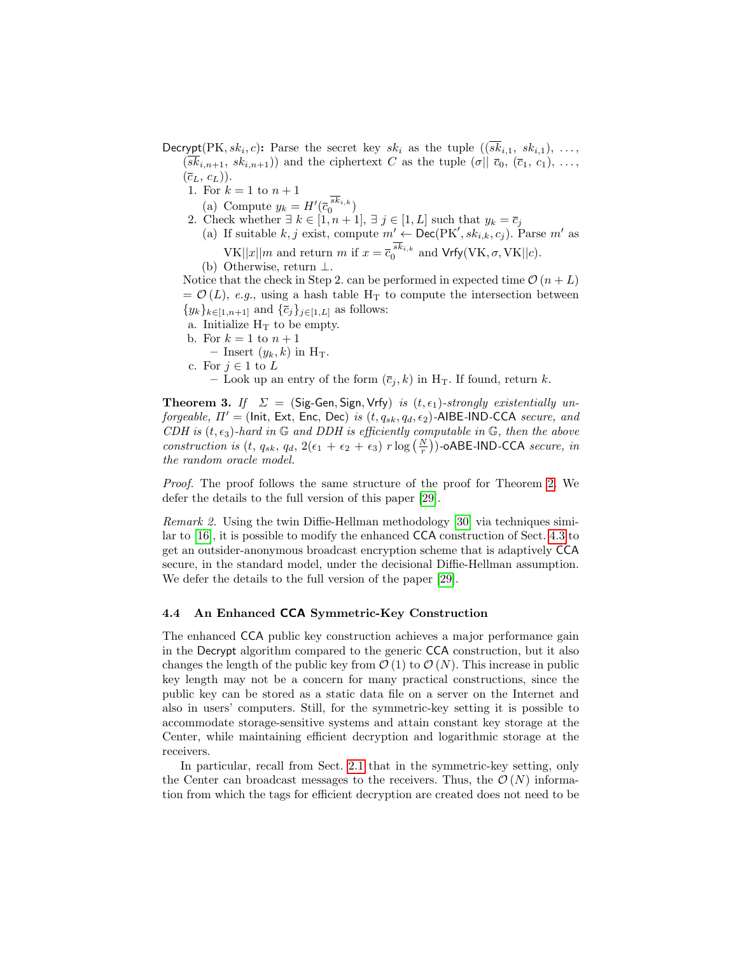- Decrypt(PK,  $sk_i$ , c): Parse the secret key  $sk_i$  as the tuple  $((sk_{i,1}, sk_{i,1}), \ldots,$  $(sk_{i,n+1}, sk_{i,n+1})$  and the ciphertext C as the tuple  $(\sigma|| \bar{c}_0, (\bar{c}_1, c_1), \ldots,$  $(\overline{c}_L, c_L)$ .
	- 1. For  $k = 1$  to  $n + 1$

(a) Compute  $y_k = H'(\overline{c}_0^{sk_{i,k}})$ 

- 2. Check whether  $\exists k \in [1, n+1], \exists j \in [1, L]$  such that  $y_k = \overline{c}_j$ (a) If suitable  $k, j$  exist, compute  $m' \leftarrow \text{Dec}(\text{PK}', sk_{i,k}, c_j)$ . Parse m' as
	- $\text{VK} ||x||m$  and return m if  $x = \overline{c_0}^{sk_{i,k}}$  and  $\text{Vrfy}(\text{VK}, \sigma, \text{VK} || c)$ .
	- (b) Otherwise, return  $\perp$ .

Notice that the check in Step 2. can be performed in expected time  $\mathcal{O}(n+L)$  $= \mathcal{O}(L)$ , e.g., using a hash table  $H_T$  to compute the intersection between  $\{y_k\}_{k\in[1,n+1]}$  and  $\{\bar{c}_j\}_{j\in[1,L]}$  as follows:

- a. Initialize  $H_T$  to be empty.
- b. For  $k = 1$  to  $n + 1$ 
	- Insert  $(y_k, k)$  in  $H_T$ .
- c. For  $j \in 1$  to L
	- Look up an entry of the form  $(\bar{c}_i, k)$  in  $H_T$ . If found, return k.

**Theorem 3.** If  $\Sigma =$  (Sig-Gen, Sign, Vrfy) is  $(t, \epsilon_1)$ -strongly existentially un*forgeable,*  $\Pi' =$  (Init, Ext, Enc, Dec) is  $(t, q_{sk}, q_d, \epsilon_2)$ -AIBE-IND-CCA secure, and CDH is  $(t, \epsilon_3)$ -hard in G and DDH is efficiently computable in G, then the above construction is  $(t, q_{sk}, q_d, 2(\epsilon_1 + \epsilon_2 + \epsilon_3) r \log(\frac{N}{r}))$ -oABE-IND-CCA secure, in the random oracle model.

Proof. The proof follows the same structure of the proof for Theorem [2.](#page-10-1) We defer the details to the full version of this paper [\[29\]](#page-15-4).

Remark 2. Using the twin Diffie-Hellman methodology [\[30\]](#page-15-5) via techniques similar to [\[16\]](#page-14-2), it is possible to modify the enhanced CCA construction of Sect. [4.3](#page-10-0) to get an outsider-anonymous broadcast encryption scheme that is adaptively CCA secure, in the standard model, under the decisional Diffie-Hellman assumption. We defer the details to the full version of the paper [\[29\]](#page-15-4).

### <span id="page-12-0"></span>4.4 An Enhanced CCA Symmetric-Key Construction

The enhanced CCA public key construction achieves a major performance gain in the Decrypt algorithm compared to the generic CCA construction, but it also changes the length of the public key from  $\mathcal{O}(1)$  to  $\mathcal{O}(N)$ . This increase in public key length may not be a concern for many practical constructions, since the public key can be stored as a static data file on a server on the Internet and also in users' computers. Still, for the symmetric-key setting it is possible to accommodate storage-sensitive systems and attain constant key storage at the Center, while maintaining efficient decryption and logarithmic storage at the receivers.

In particular, recall from Sect. [2.1](#page-3-1) that in the symmetric-key setting, only the Center can broadcast messages to the receivers. Thus, the  $\mathcal{O}(N)$  information from which the tags for efficient decryption are created does not need to be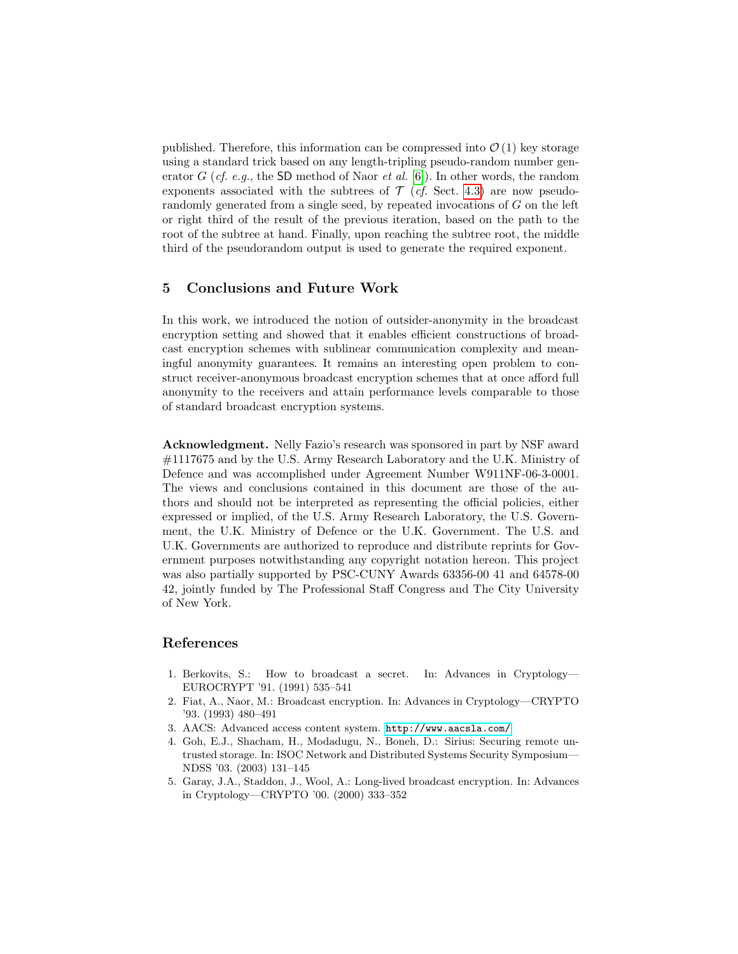published. Therefore, this information can be compressed into  $\mathcal{O}(1)$  key storage using a standard trick based on any length-tripling pseudo-random number generator G (cf. e.g., the SD method of Naor et al.  $[6]$ ). In other words, the random exponents associated with the subtrees of  $\mathcal{T}$  (*cf.* Sect. [4.3\)](#page-10-0) are now pseudorandomly generated from a single seed, by repeated invocations of G on the left or right third of the result of the previous iteration, based on the path to the root of the subtree at hand. Finally, upon reaching the subtree root, the middle third of the pseudorandom output is used to generate the required exponent.

## 5 Conclusions and Future Work

In this work, we introduced the notion of outsider-anonymity in the broadcast encryption setting and showed that it enables efficient constructions of broadcast encryption schemes with sublinear communication complexity and meaningful anonymity guarantees. It remains an interesting open problem to construct receiver-anonymous broadcast encryption schemes that at once afford full anonymity to the receivers and attain performance levels comparable to those of standard broadcast encryption systems.

Acknowledgment. Nelly Fazio's research was sponsored in part by NSF award #1117675 and by the U.S. Army Research Laboratory and the U.K. Ministry of Defence and was accomplished under Agreement Number W911NF-06-3-0001. The views and conclusions contained in this document are those of the authors and should not be interpreted as representing the official policies, either expressed or implied, of the U.S. Army Research Laboratory, the U.S. Government, the U.K. Ministry of Defence or the U.K. Government. The U.S. and U.K. Governments are authorized to reproduce and distribute reprints for Government purposes notwithstanding any copyright notation hereon. This project was also partially supported by PSC-CUNY Awards 63356-00 41 and 64578-00 42, jointly funded by The Professional Staff Congress and The City University of New York.

## References

- <span id="page-13-0"></span>1. Berkovits, S.: How to broadcast a secret. In: Advances in Cryptology— EUROCRYPT '91. (1991) 535–541
- <span id="page-13-1"></span>2. Fiat, A., Naor, M.: Broadcast encryption. In: Advances in Cryptology—CRYPTO '93. (1993) 480–491
- <span id="page-13-2"></span>3. AACS: Advanced access content system. <http://www.aacsla.com/>
- <span id="page-13-3"></span>4. Goh, E.J., Shacham, H., Modadugu, N., Boneh, D.: Sirius: Securing remote untrusted storage. In: ISOC Network and Distributed Systems Security Symposium— NDSS '03. (2003) 131–145
- <span id="page-13-4"></span>5. Garay, J.A., Staddon, J., Wool, A.: Long-lived broadcast encryption. In: Advances in Cryptology—CRYPTO '00. (2000) 333–352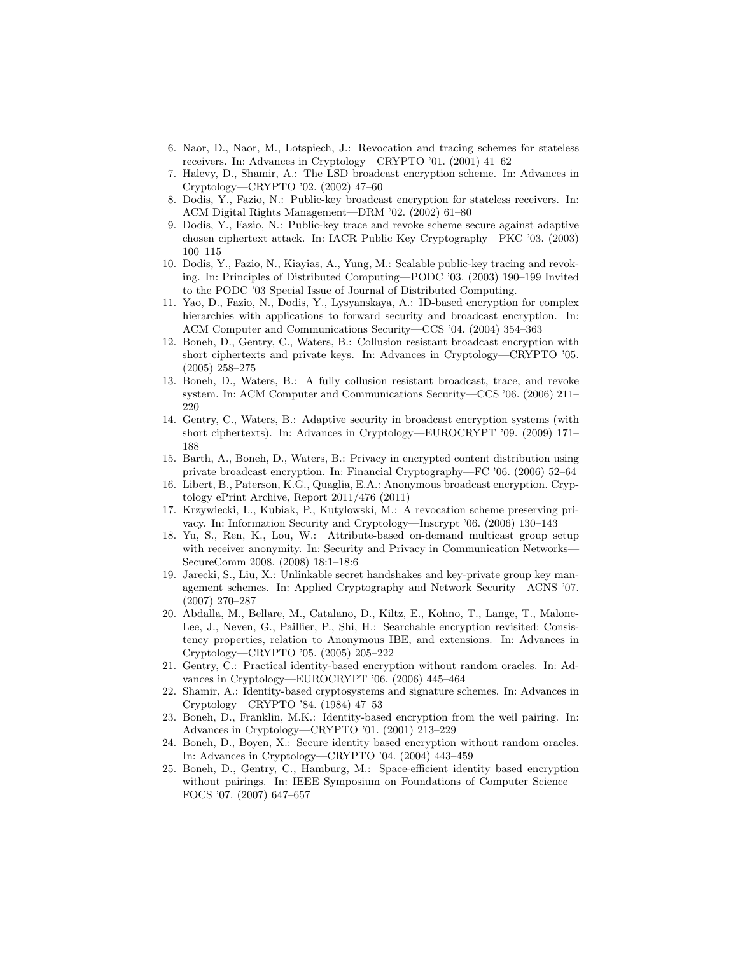- <span id="page-14-6"></span>6. Naor, D., Naor, M., Lotspiech, J.: Revocation and tracing schemes for stateless receivers. In: Advances in Cryptology—CRYPTO '01. (2001) 41–62
- 7. Halevy, D., Shamir, A.: The LSD broadcast encryption scheme. In: Advances in Cryptology—CRYPTO '02. (2002) 47–60
- <span id="page-14-9"></span>8. Dodis, Y., Fazio, N.: Public-key broadcast encryption for stateless receivers. In: ACM Digital Rights Management—DRM '02. (2002) 61–80
- 9. Dodis, Y., Fazio, N.: Public-key trace and revoke scheme secure against adaptive chosen ciphertext attack. In: IACR Public Key Cryptography—PKC '03. (2003) 100–115
- 10. Dodis, Y., Fazio, N., Kiayias, A., Yung, M.: Scalable public-key tracing and revoking. In: Principles of Distributed Computing—PODC '03. (2003) 190–199 Invited to the PODC '03 Special Issue of Journal of Distributed Computing.
- 11. Yao, D., Fazio, N., Dodis, Y., Lysyanskaya, A.: ID-based encryption for complex hierarchies with applications to forward security and broadcast encryption. In: ACM Computer and Communications Security—CCS '04. (2004) 354–363
- 12. Boneh, D., Gentry, C., Waters, B.: Collusion resistant broadcast encryption with short ciphertexts and private keys. In: Advances in Cryptology—CRYPTO '05. (2005) 258–275
- 13. Boneh, D., Waters, B.: A fully collusion resistant broadcast, trace, and revoke system. In: ACM Computer and Communications Security—CCS '06. (2006) 211– 220
- <span id="page-14-0"></span>14. Gentry, C., Waters, B.: Adaptive security in broadcast encryption systems (with short ciphertexts). In: Advances in Cryptology—EUROCRYPT '09. (2009) 171– 188
- <span id="page-14-1"></span>15. Barth, A., Boneh, D., Waters, B.: Privacy in encrypted content distribution using private broadcast encryption. In: Financial Cryptography—FC '06. (2006) 52–64
- <span id="page-14-2"></span>16. Libert, B., Paterson, K.G., Quaglia, E.A.: Anonymous broadcast encryption. Cryptology ePrint Archive, Report 2011/476 (2011)
- <span id="page-14-3"></span>17. Krzywiecki, L., Kubiak, P., Kutylowski, M.: A revocation scheme preserving privacy. In: Information Security and Cryptology—Inscrypt '06. (2006) 130–143
- <span id="page-14-4"></span>18. Yu, S., Ren, K., Lou, W.: Attribute-based on-demand multicast group setup with receiver anonymity. In: Security and Privacy in Communication Networks-SecureComm 2008. (2008) 18:1–18:6
- <span id="page-14-5"></span>19. Jarecki, S., Liu, X.: Unlinkable secret handshakes and key-private group key management schemes. In: Applied Cryptography and Network Security—ACNS '07. (2007) 270–287
- <span id="page-14-7"></span>20. Abdalla, M., Bellare, M., Catalano, D., Kiltz, E., Kohno, T., Lange, T., Malone-Lee, J., Neven, G., Paillier, P., Shi, H.: Searchable encryption revisited: Consistency properties, relation to Anonymous IBE, and extensions. In: Advances in Cryptology—CRYPTO '05. (2005) 205–222
- <span id="page-14-8"></span>21. Gentry, C.: Practical identity-based encryption without random oracles. In: Advances in Cryptology—EUROCRYPT '06. (2006) 445–464
- <span id="page-14-10"></span>22. Shamir, A.: Identity-based cryptosystems and signature schemes. In: Advances in Cryptology—CRYPTO '84. (1984) 47–53
- <span id="page-14-11"></span>23. Boneh, D., Franklin, M.K.: Identity-based encryption from the weil pairing. In: Advances in Cryptology—CRYPTO '01. (2001) 213–229
- <span id="page-14-12"></span>24. Boneh, D., Boyen, X.: Secure identity based encryption without random oracles. In: Advances in Cryptology—CRYPTO '04. (2004) 443–459
- 25. Boneh, D., Gentry, C., Hamburg, M.: Space-efficient identity based encryption without pairings. In: IEEE Symposium on Foundations of Computer Science-FOCS '07. (2007) 647–657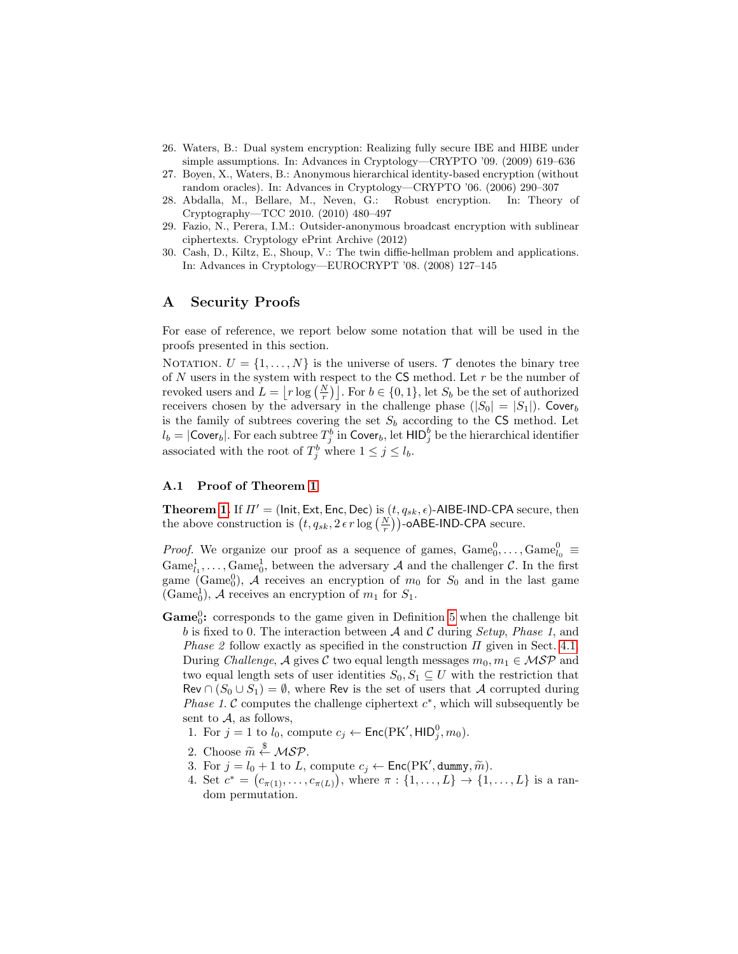- <span id="page-15-0"></span>26. Waters, B.: Dual system encryption: Realizing fully secure IBE and HIBE under simple assumptions. In: Advances in Cryptology—CRYPTO '09. (2009) 619–636
- <span id="page-15-1"></span>27. Boyen, X., Waters, B.: Anonymous hierarchical identity-based encryption (without random oracles). In: Advances in Cryptology—CRYPTO '06. (2006) 290–307
- <span id="page-15-2"></span>28. Abdalla, M., Bellare, M., Neven, G.: Robust encryption. In: Theory of Cryptography—TCC 2010. (2010) 480–497
- <span id="page-15-4"></span>29. Fazio, N., Perera, I.M.: Outsider-anonymous broadcast encryption with sublinear ciphertexts. Cryptology ePrint Archive (2012)
- <span id="page-15-5"></span>30. Cash, D., Kiltz, E., Shoup, V.: The twin diffie-hellman problem and applications. In: Advances in Cryptology—EUROCRYPT '08. (2008) 127–145

## A Security Proofs

For ease of reference, we report below some notation that will be used in the proofs presented in this section.

NOTATION.  $U = \{1, \ldots, N\}$  is the universe of users. T denotes the binary tree of  $N$  users in the system with respect to the CS method. Let  $r$  be the number of revoked users and  $L = \lfloor r \log(\frac{N}{r}) \rfloor$ . For  $b \in \{0, 1\}$ , let  $S_b$  be the set of authorized receivers chosen by the adversary in the challenge phase  $(|S_0| = |S_1|)$ . Cover is the family of subtrees covering the set  $S_b$  according to the CS method. Let  $l_b = |\textsf{Cover}_b|$ . For each subtree  $T^b_j$  in  $\textsf{Cover}_b$ , let  $\textsf{HID}^b_j$  be the hierarchical identifier associated with the root of  $T_j^b$  where  $1 \leq j \leq l_b$ .

#### <span id="page-15-3"></span>A.1 Proof of Theorem [1](#page-9-1)

**Theorem [1.](#page-9-1)** If  $\Pi' = (\text{Init}, \text{Ext}, \text{Enc}, \text{Dec})$  is  $(t, q_{sk}, \epsilon)$ -AIBE-IND-CPA secure, then the above construction is  $\left(t, q_{sk}, 2 \epsilon r \log\left(\frac{N}{r}\right)\right)$ -oABE-IND-CPA secure.

*Proof.* We organize our proof as a sequence of games,  $Game_0^0, \ldots, Game_{l_0}^0 \equiv$ Game<sub> $l_1$ </sub>,..., Game<sub>0</sub><sup>1</sup>, between the adversary A and the challenger C. In the first game (Game<sup>0</sup>), A receives an encryption of  $m_0$  for  $S_0$  and in the last game (Game<sub>0</sub>), A receives an encryption of  $m_1$  for  $S_1$ .

- $\text{Game}_0^0$ : corresponds to the game given in Definition [5](#page-7-2) when the challenge bit b is fixed to 0. The interaction between  $A$  and  $C$  during Setup, Phase 1, and *Phase 2* follow exactly as specified in the construction  $\Pi$  given in Sect. [4.1.](#page-8-0) During Challenge, A gives C two equal length messages  $m_0, m_1 \in \mathcal{MSP}$  and two equal length sets of user identities  $S_0, S_1 \subseteq U$  with the restriction that Rev  $\cap$   $(S_0 \cup S_1) = \emptyset$ , where Rev is the set of users that A corrupted during *Phase 1.*  $\mathcal C$  computes the challenge ciphertext  $c^*$ , which will subsequently be sent to  $A$ , as follows,
	- 1. For  $j = 1$  to  $l_0$ , compute  $c_j \leftarrow \text{Enc}(\text{PK}', \text{HID}_j^0, m_0)$ .
	- 2. Choose  $\widetilde{m} \stackrel{\$}{\leftarrow} \mathcal{MSP}$ .<br>3. For  $i = l_2 + 1$  to I.
	- 3. For  $j = l_0 + 1$  to L, compute  $c_j \leftarrow \text{Enc}(\text{PK}', \text{dummy}, \widetilde{m})$ .<br>
	4. Set  $c^* = (c, \ldots, c, \ldots)$ , where  $\pi : \{1, \ldots, 1\} \rightarrow \{1, \ldots, 1\}$
	- 4. Set  $c^* = (c_{\pi(1)}, \ldots, c_{\pi(L)})$ , where  $\pi : \{1, \ldots, L\} \to \{1, \ldots, L\}$  is a random permutation.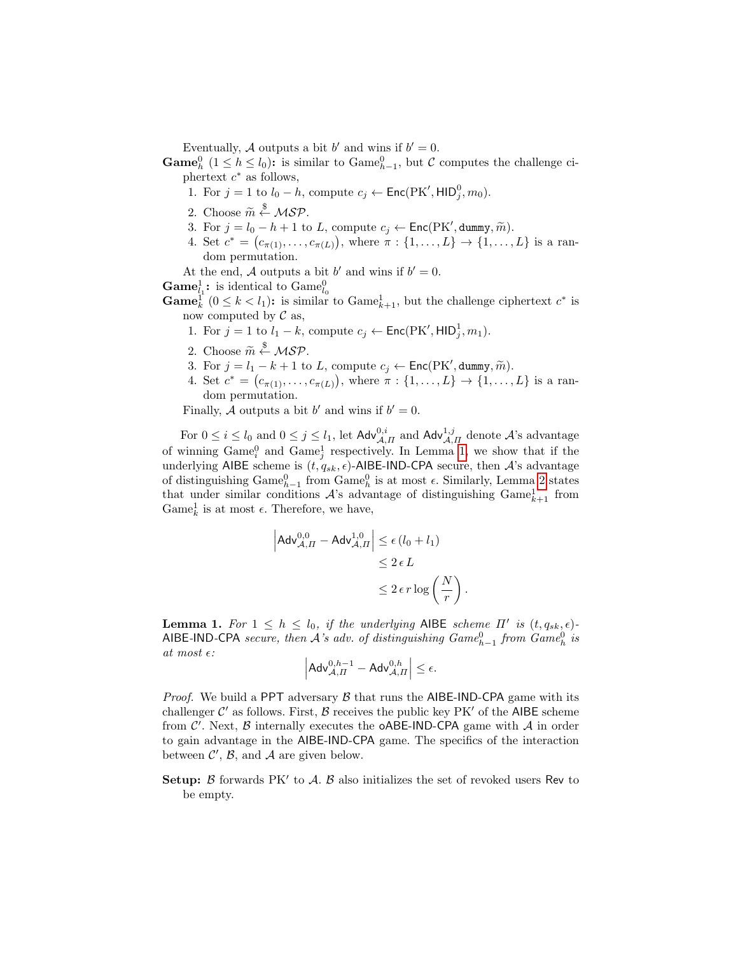Eventually, A outputs a bit b' and wins if  $b' = 0$ .

**Game**<sup>0</sup><sub>h</sub>  $(1 \leq h \leq l_0)$ : is similar to Game<sup>0</sup><sub>h-1</sub>, but  $C$  computes the challenge ciphertext  $c^*$  as follows,

- 1. For  $j = 1$  to  $l_0 h$ , compute  $c_j \leftarrow \text{Enc}(\text{PK}', \text{HID}_j^0, m_0)$ .
- 2. Choose  $\widetilde{m} \stackrel{\$}{\leftarrow} \mathcal{MSP}$ .
- 3. For  $j = l_0 h + 1$  to L, compute  $c_j \leftarrow \text{Enc}(\text{PK}', \text{dummy}, \widetilde{m})$ .<br>4. Set  $e^* = (c_1, \ldots, c_{n-1})$ , where  $\pi : \{1, \ldots, 1\} \setminus \{1, \ldots, 1\}$ .
- 4. Set  $c^* = (c_{\pi(1)}, \ldots, c_{\pi(L)})$ , where  $\pi : \{1, \ldots, L\} \to \{1, \ldots, L\}$  is a random permutation.
- At the end, A outputs a bit b' and wins if  $b' = 0$ .

 $\textbf{Game}_{l_1}^1$ : is identical to  $\text{Game}_{l_0}^0$ 

**Game**<sup>1</sup><sub>k</sub>  $(0 \le k < l_1)$ : is similar to Game<sub>k+1</sub>, but the challenge ciphertext  $c^*$  is now computed by  $\mathcal C$  as,

- 1. For  $j = 1$  to  $l_1 k$ , compute  $c_j \leftarrow \text{Enc}(\text{PK}', \text{HID}_j^1, m_1)$ .
- 2. Choose  $\widetilde{m} \stackrel{\$}{\leftarrow} \mathcal{MSP}$ .<br>  $\frac{3}{5}$  For  $i = 1, \dots, k+1$  to
- 3. For  $j = l_1 k + 1$  to L, compute  $c_j \leftarrow \text{Enc}(\text{PK}', \text{dummy}, \widetilde{m})$ .<br>4. Set  $e^* = (c_1, \ldots, c_{n+1})$ , where  $\pi : \{1, \ldots, 1\} \setminus \{1, \ldots, 1\}$ .
- 4. Set  $c^* = (c_{\pi(1)}, \ldots, c_{\pi(L)})$ , where  $\pi : \{1, \ldots, L\} \to \{1, \ldots, L\}$  is a random permutation.

Finally, A outputs a bit b' and wins if  $b' = 0$ .

For  $0 \le i \le l_0$  and  $0 \le j \le l_1$ , let  $\mathsf{Adv}_{\mathcal{A},\Pi}^{0,i}$  and  $\mathsf{Adv}_{\mathcal{A},\Pi}^{1,j}$  denote  $\mathcal{A}$ 's advantage of winning  $\text{Game}_i^0$  and  $\text{Game}_j^1$  respectively. In Lemma [1,](#page-16-0) we show that if the underlying AIBE scheme is  $(t, q_{sk}, \epsilon)$ -AIBE-IND-CPA secure, then A's advantage of distinguishing  $\text{Game}_{h-1}^0$  from  $\text{Game}_h^0$  is at most  $\epsilon$ . Similarly, Lemma [2](#page-17-0) states that under similar conditions  $A$ 's advantage of distinguishing  $\text{Game}_{k+1}^1$  from Game<sub>k</sub> is at most  $\epsilon$ . Therefore, we have,

$$
\left| \mathsf{Adv}_{\mathcal{A},\varPi}^{0,0} - \mathsf{Adv}_{\mathcal{A},\varPi}^{1,0} \right| \leq \epsilon \left( l_0 + l_1 \right) \n\leq 2 \epsilon L \n\leq 2 \epsilon r \log \left( \frac{N}{r} \right).
$$

<span id="page-16-0"></span>**Lemma 1.** For  $1 \leq h \leq l_0$ , if the underlying AIBE scheme  $\Pi'$  is  $(t, q_{sk}, \epsilon)$ . AIBE-IND-CPA secure, then A's adv. of distinguishing  $Game_{h-1}^0$  from  $Game_h^0$  is at most  $\epsilon$ :

$$
\left|\mathsf{Adv}_{\mathcal{A},\Pi}^{0,h-1} - \mathsf{Adv}_{\mathcal{A},\Pi}^{0,h}\right| \leq \epsilon.
$$

*Proof.* We build a PPT adversary  $\beta$  that runs the AIBE-IND-CPA game with its challenger  $C'$  as follows. First,  $B$  receives the public key PK' of the AIBE scheme from  $\mathcal{C}'$ . Next,  $\mathcal B$  internally executes the **oABE-IND-CPA** game with  $\mathcal A$  in order to gain advantage in the AIBE-IND-CPA game. The specifics of the interaction between  $\mathcal{C}'$ ,  $\mathcal{B}$ , and  $\mathcal{A}$  are given below.

Setup:  $\beta$  forwards PK' to  $\mathcal{A}$ .  $\beta$  also initializes the set of revoked users Rev to be empty.